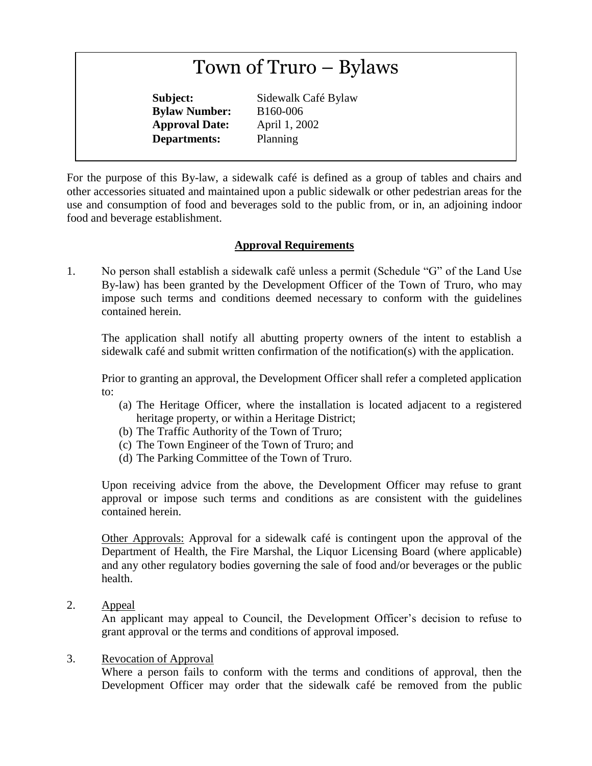# Town of Truro – Bylaws

**Bylaw Number:** B160-006 **Approval Date:** April 1, 2002 **Departments:** Planning

**Subject:** Sidewalk Café Bylaw

For the purpose of this By-law, a sidewalk café is defined as a group of tables and chairs and other accessories situated and maintained upon a public sidewalk or other pedestrian areas for the use and consumption of food and beverages sold to the public from, or in, an adjoining indoor food and beverage establishment.

# **Approval Requirements**

1. No person shall establish a sidewalk café unless a permit (Schedule "G" of the Land Use By-law) has been granted by the Development Officer of the Town of Truro, who may impose such terms and conditions deemed necessary to conform with the guidelines contained herein.

The application shall notify all abutting property owners of the intent to establish a sidewalk café and submit written confirmation of the notification(s) with the application.

Prior to granting an approval, the Development Officer shall refer a completed application to:

- (a) The Heritage Officer, where the installation is located adjacent to a registered heritage property, or within a Heritage District;
- (b) The Traffic Authority of the Town of Truro;
- (c) The Town Engineer of the Town of Truro; and
- (d) The Parking Committee of the Town of Truro.

Upon receiving advice from the above, the Development Officer may refuse to grant approval or impose such terms and conditions as are consistent with the guidelines contained herein.

Other Approvals: Approval for a sidewalk café is contingent upon the approval of the Department of Health, the Fire Marshal, the Liquor Licensing Board (where applicable) and any other regulatory bodies governing the sale of food and/or beverages or the public health.

2. Appeal

An applicant may appeal to Council, the Development Officer's decision to refuse to grant approval or the terms and conditions of approval imposed.

#### 3. Revocation of Approval

Where a person fails to conform with the terms and conditions of approval, then the Development Officer may order that the sidewalk café be removed from the public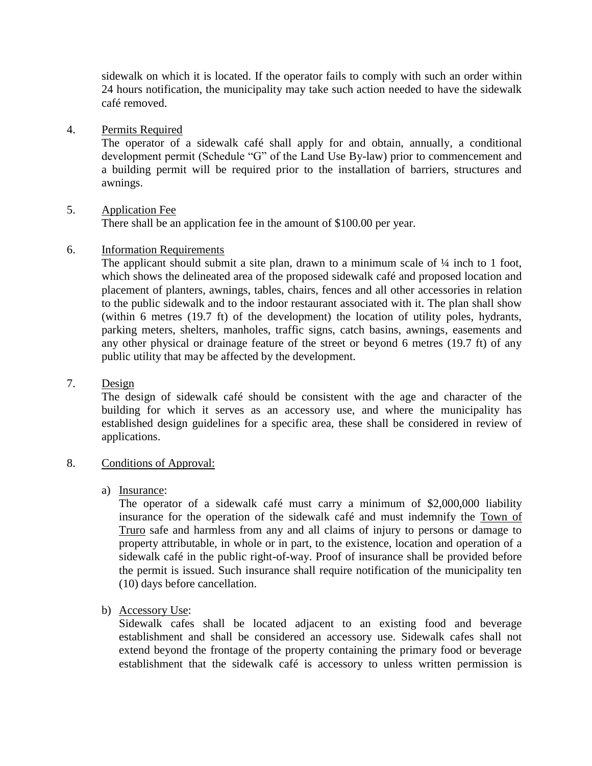sidewalk on which it is located. If the operator fails to comply with such an order within 24 hours notification, the municipality may take such action needed to have the sidewalk café removed.

4. Permits Required

The operator of a sidewalk café shall apply for and obtain, annually, a conditional development permit (Schedule "G" of the Land Use By-law) prior to commencement and a building permit will be required prior to the installation of barriers, structures and awnings.

# 5. Application Fee

There shall be an application fee in the amount of \$100.00 per year.

6. Information Requirements

The applicant should submit a site plan, drawn to a minimum scale of  $\frac{1}{4}$  inch to 1 foot, which shows the delineated area of the proposed sidewalk café and proposed location and placement of planters, awnings, tables, chairs, fences and all other accessories in relation to the public sidewalk and to the indoor restaurant associated with it. The plan shall show (within 6 metres (19.7 ft) of the development) the location of utility poles, hydrants, parking meters, shelters, manholes, traffic signs, catch basins, awnings, easements and any other physical or drainage feature of the street or beyond 6 metres (19.7 ft) of any public utility that may be affected by the development.

### 7. Design

The design of sidewalk café should be consistent with the age and character of the building for which it serves as an accessory use, and where the municipality has established design guidelines for a specific area, these shall be considered in review of applications.

#### 8. Conditions of Approval:

#### a) Insurance:

The operator of a sidewalk café must carry a minimum of \$2,000,000 liability insurance for the operation of the sidewalk café and must indemnify the Town of Truro safe and harmless from any and all claims of injury to persons or damage to property attributable, in whole or in part, to the existence, location and operation of a sidewalk café in the public right-of-way. Proof of insurance shall be provided before the permit is issued. Such insurance shall require notification of the municipality ten (10) days before cancellation.

# b) Accessory Use:

Sidewalk cafes shall be located adjacent to an existing food and beverage establishment and shall be considered an accessory use. Sidewalk cafes shall not extend beyond the frontage of the property containing the primary food or beverage establishment that the sidewalk café is accessory to unless written permission is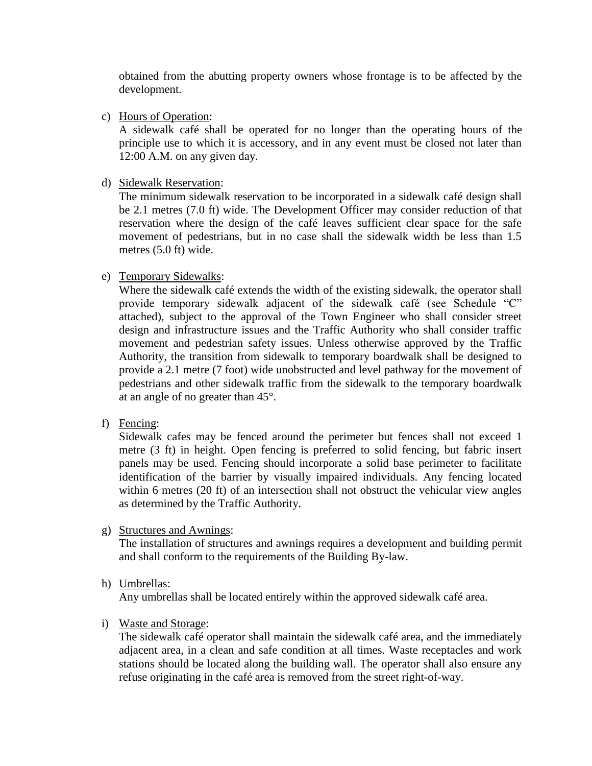obtained from the abutting property owners whose frontage is to be affected by the development.

c) Hours of Operation:

A sidewalk café shall be operated for no longer than the operating hours of the principle use to which it is accessory, and in any event must be closed not later than 12:00 A.M. on any given day.

d) Sidewalk Reservation:

The minimum sidewalk reservation to be incorporated in a sidewalk café design shall be 2.1 metres (7.0 ft) wide. The Development Officer may consider reduction of that reservation where the design of the café leaves sufficient clear space for the safe movement of pedestrians, but in no case shall the sidewalk width be less than 1.5 metres (5.0 ft) wide.

## e) Temporary Sidewalks:

Where the sidewalk café extends the width of the existing sidewalk, the operator shall provide temporary sidewalk adjacent of the sidewalk café (see Schedule "C" attached), subject to the approval of the Town Engineer who shall consider street design and infrastructure issues and the Traffic Authority who shall consider traffic movement and pedestrian safety issues. Unless otherwise approved by the Traffic Authority, the transition from sidewalk to temporary boardwalk shall be designed to provide a 2.1 metre (7 foot) wide unobstructed and level pathway for the movement of pedestrians and other sidewalk traffic from the sidewalk to the temporary boardwalk at an angle of no greater than 45°.

f) Fencing:

Sidewalk cafes may be fenced around the perimeter but fences shall not exceed 1 metre (3 ft) in height. Open fencing is preferred to solid fencing, but fabric insert panels may be used. Fencing should incorporate a solid base perimeter to facilitate identification of the barrier by visually impaired individuals. Any fencing located within 6 metres (20 ft) of an intersection shall not obstruct the vehicular view angles as determined by the Traffic Authority.

g) Structures and Awnings:

The installation of structures and awnings requires a development and building permit and shall conform to the requirements of the Building By-law.

h) Umbrellas:

Any umbrellas shall be located entirely within the approved sidewalk café area.

i) Waste and Storage:

The sidewalk café operator shall maintain the sidewalk café area, and the immediately adjacent area, in a clean and safe condition at all times. Waste receptacles and work stations should be located along the building wall. The operator shall also ensure any refuse originating in the café area is removed from the street right-of-way.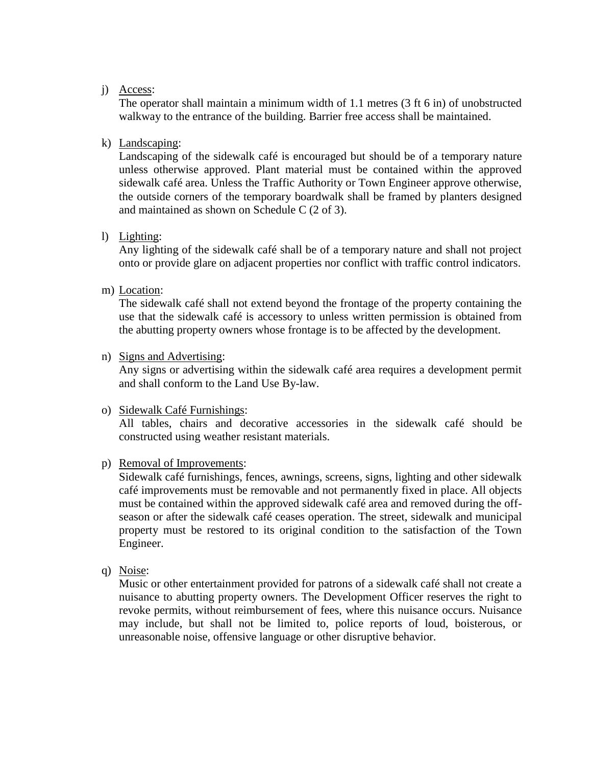#### j) Access:

The operator shall maintain a minimum width of 1.1 metres (3 ft 6 in) of unobstructed walkway to the entrance of the building. Barrier free access shall be maintained.

#### k) Landscaping:

Landscaping of the sidewalk café is encouraged but should be of a temporary nature unless otherwise approved. Plant material must be contained within the approved sidewalk café area. Unless the Traffic Authority or Town Engineer approve otherwise, the outside corners of the temporary boardwalk shall be framed by planters designed and maintained as shown on Schedule C (2 of 3).

#### l) Lighting:

Any lighting of the sidewalk café shall be of a temporary nature and shall not project onto or provide glare on adjacent properties nor conflict with traffic control indicators.

m) Location:

The sidewalk café shall not extend beyond the frontage of the property containing the use that the sidewalk café is accessory to unless written permission is obtained from the abutting property owners whose frontage is to be affected by the development.

n) Signs and Advertising:

Any signs or advertising within the sidewalk café area requires a development permit and shall conform to the Land Use By-law.

#### o) Sidewalk Café Furnishings:

All tables, chairs and decorative accessories in the sidewalk café should be constructed using weather resistant materials.

#### p) Removal of Improvements:

Sidewalk café furnishings, fences, awnings, screens, signs, lighting and other sidewalk café improvements must be removable and not permanently fixed in place. All objects must be contained within the approved sidewalk café area and removed during the offseason or after the sidewalk café ceases operation. The street, sidewalk and municipal property must be restored to its original condition to the satisfaction of the Town Engineer.

q) Noise:

Music or other entertainment provided for patrons of a sidewalk café shall not create a nuisance to abutting property owners. The Development Officer reserves the right to revoke permits, without reimbursement of fees, where this nuisance occurs. Nuisance may include, but shall not be limited to, police reports of loud, boisterous, or unreasonable noise, offensive language or other disruptive behavior.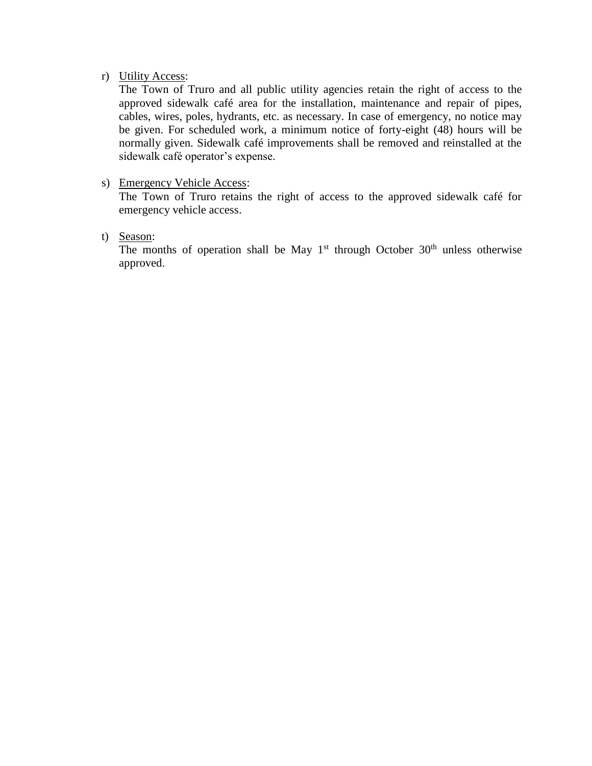#### r) Utility Access:

The Town of Truro and all public utility agencies retain the right of access to the approved sidewalk café area for the installation, maintenance and repair of pipes, cables, wires, poles, hydrants, etc. as necessary. In case of emergency, no notice may be given. For scheduled work, a minimum notice of forty-eight (48) hours will be normally given. Sidewalk café improvements shall be removed and reinstalled at the sidewalk café operator's expense.

#### s) Emergency Vehicle Access:

The Town of Truro retains the right of access to the approved sidewalk café for emergency vehicle access.

t) Season:

The months of operation shall be May  $1<sup>st</sup>$  through October  $30<sup>th</sup>$  unless otherwise approved.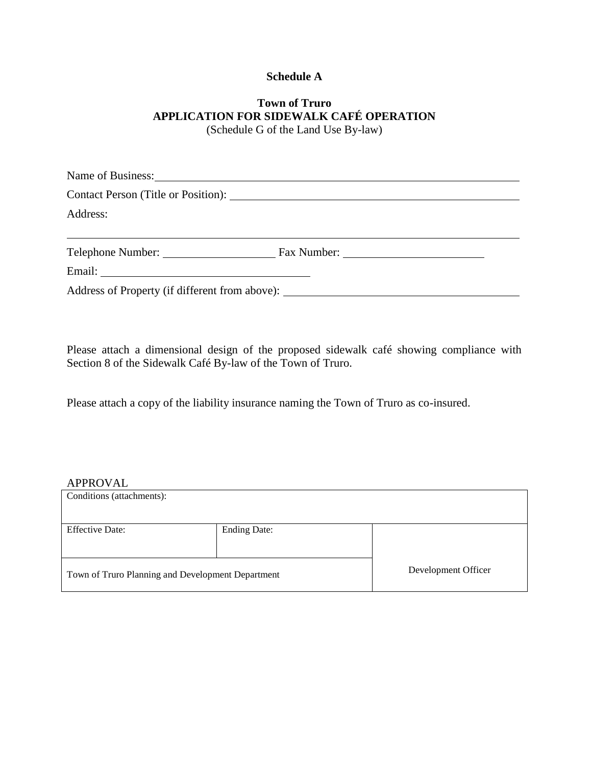## **Schedule A**

## **Town of Truro APPLICATION FOR SIDEWALK CAFÉ OPERATION** (Schedule G of the Land Use By-law)

| Name of Business: 1997 and 1997 and 1998 and 1997 and 1998 and 1998 and 1998 and 1998 and 1998 and 1998 and 19 |  |
|----------------------------------------------------------------------------------------------------------------|--|
|                                                                                                                |  |
| Address:                                                                                                       |  |
|                                                                                                                |  |
|                                                                                                                |  |
| Address of Property (if different from above): __________________________________                              |  |

Please attach a dimensional design of the proposed sidewalk café showing compliance with Section 8 of the Sidewalk Café By-law of the Town of Truro.

Please attach a copy of the liability insurance naming the Town of Truro as co-insured.

#### APPROVAL

| Conditions (attachments):                         |                     |                     |
|---------------------------------------------------|---------------------|---------------------|
| <b>Effective Date:</b>                            | <b>Ending Date:</b> |                     |
| Town of Truro Planning and Development Department |                     | Development Officer |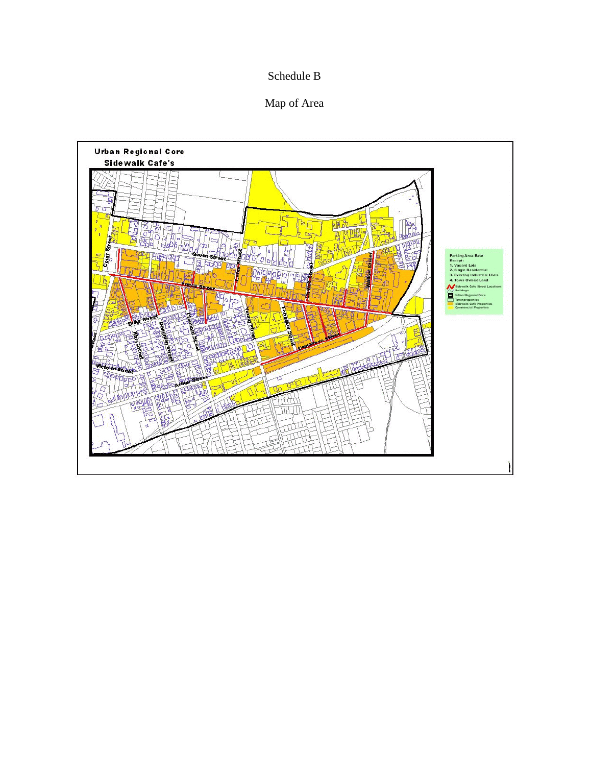# Schedule B

# Map of Area

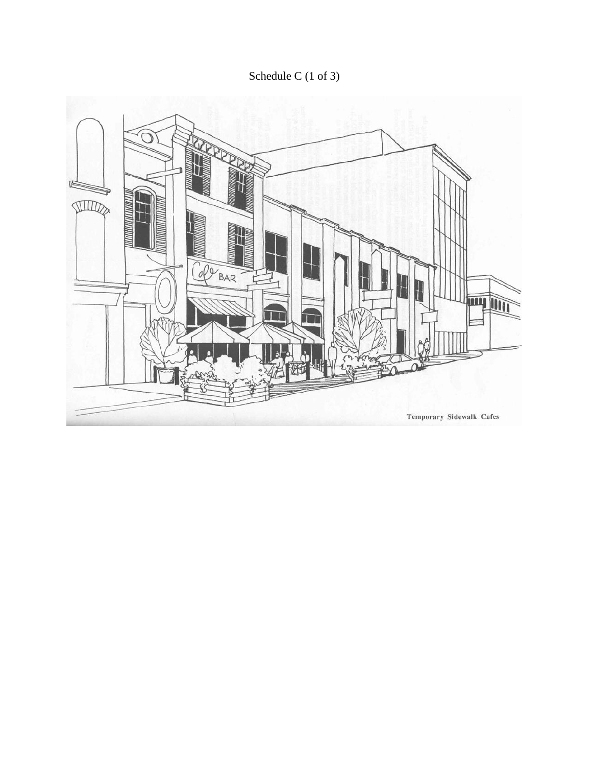Schedule C (1 of 3)

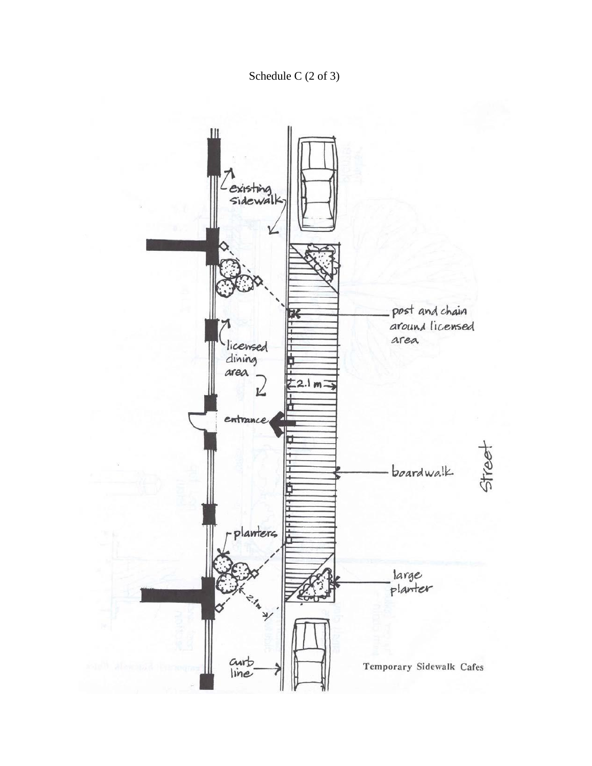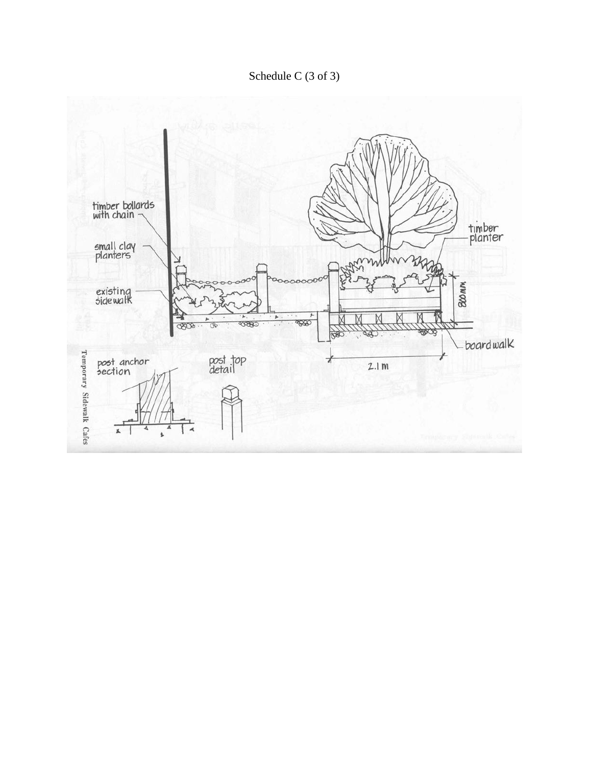Schedule C (3 of 3)